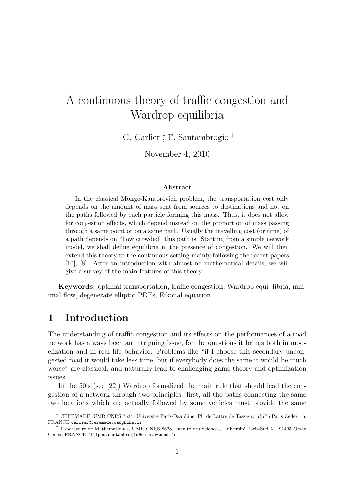# A continuous theory of traffic congestion and Wardrop equilibria

G. Carlier <sup>\*</sup>, F. Santambrogio<sup>†</sup>

November 4, 2010

#### Abstract

In the classical Monge-Kantorovich problem, the transportation cost only depends on the amount of mass sent from sources to destinations and not on the paths followed by each particle forming this mass. Thus, it does not allow for congestion effects, which depend instead on the proportion of mass passing through a same point or on a same path. Usually the travelling cost (or time) of a path depends on "how crowded" this path is. Starting from a simple network model, we shall define equilibria in the presence of congestion. We will then extend this theory to the continuous setting mainly following the recent papers [10], [8]. After an introduction with almost no mathematical details, we will give a survey of the main features of this theory.

Keywords: optimal transportation, traffic congestion, Wardrop equi- libria, minimal flow, degenerate elliptic PDEs, Eikonal equation.

### 1 Introduction

The understanding of traffic congestion and its effects on the performances of a road network has always been an intriguing issue, for the questions it brings both in modelization and in real life behavior. Problems like "if I choose this secondary uncongested road it would take less time, but if everybody does the same it would be much worse" are classical, and naturally lead to challenging game-theory and optimization issues.

In the 50's (see [22]) Wardrop formalized the main rule that should lead the congestion of a network through two principles: first, all the paths connecting the same two locations which are actually followed by some vehicles must provide the same

<sup>∗</sup> CEREMADE, UMR CNRS 7534, Universit´e Paris-Dauphine, Pl. de Lattre de Tassigny, 75775 Paris Cedex 16, FRANCE carlier@ceremade.dauphine.fr

<sup>&</sup>lt;sup>†</sup> Laboratoire de Mathématiques, UMR CNRS 8628, Faculté des Sciences, Université Paris-Sud XI, 91405 Orsay Cedex, FRANCE filippo.santambrogio@math.u-psud.fr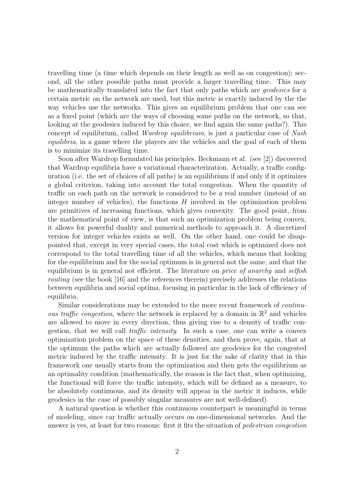travelling time (a time which depends on their length as well as on congestion); second, all the other possible paths must provide a larger travelling time. This may be mathematically translated into the fact that only paths which are geodesics for a certain metric on the network are used, but this metric is exactly induced by the the way vehicles use the networks. This gives an equilibrium problem that one can see as a fixed point (which are the ways of choosing some paths on the network, so that, looking at the geodesics induced by this choice, we find again the same paths?). This concept of equilibrium, called Wardrop equilibrium, is just a particular case of Nash equilibria, in a game where the players are the vehicles and the goal of each of them is to minimize its travelling time.

Soon after Wardrop formulated his principles, Beckmann et al. (see [2]) discovered that Wardrop equilibria have a variational characterization. Actually, a traffic configuration (i.e. the set of choices of all paths) is an equilibrium if and only if it optimizes a global criterion, taking into account the total congestion. When the quantity of traffic on each path on the network is considered to be a real number (instead of an integer number of vehicles), the functions  $H$  involved in the optimization problem are primitives of increasing functions, which gives convexity. The good point, from the mathematical point of view, is that such an optimization problem being convex, it allows for powerful duality and numerical methods to approach it. A discretized version for integer vehicles exists as well. On the other hand, one could be disappointed that, except in very special cases, the total cost which is optimized does not correspond to the total travelling time of all the vehicles, which means that looking for the equilibrium and for the social optimum is in general not the same, and that the equilibrium is in general not efficient. The literature on price of anarchy and selfish routing (see the book [16] and the references therein) precisely addresses the relations between equilibria and social optima, focusing in particular in the lack of efficiency of equilibria.

Similar considerations may be extended to the more recent framework of continuous traffic congestion, where the network is replaced by a domain in  $\mathbb{R}^2$  and vehicles are allowed to move in every direction, thus giving rise to a density of traffic congestion, that we will call traffic intensity. In such a case, one can write a convex optimization problem on the space of these densities, and then prove, again, that at the optimum the paths which are actually followed are geodesics for the congested metric induced by the traffic intensity. It is just for the sake of clarity that in this framework one usually starts from the optimization and then gets the equilibrium as an optimality condition (mathematically, the reason is the fact that, when optimizing, the functional will force the traffic intensity, which will be defined as a measure, to be absolutely continuous, and its density will appear in the metric it induces, while geodesics in the case of possibly singular measures are not well-defined).

A natural question is whether this continuous counterpart is meaningful in terms of modeling, since car traffic actually occurs on one-dimensional networks. And the answer is yes, at least for two reasons: first it fits the situation of pedestrian congestion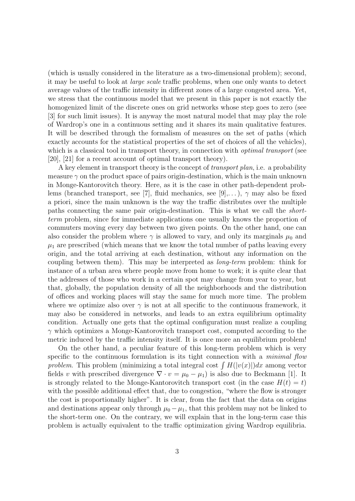(which is usually considered in the literature as a two-dimensional problem); second, it may be useful to look at large scale traffic problems, when one only wants to detect average values of the traffic intensity in different zones of a large congested area. Yet, we stress that the continuous model that we present in this paper is not exactly the homogenized limit of the discrete ones on grid networks whose step goes to zero (see [3] for such limit issues). It is anyway the most natural model that may play the role of Wardrop's one in a continuous setting and it shares its main qualitative features. It will be described through the formalism of measures on the set of paths (which exactly accounts for the statistical properties of the set of choices of all the vehicles), which is a classical tool in transport theory, in connection with *optimal transport* (see [20], [21] for a recent account of optimal transport theory).

A key element in transport theory is the concept of transport plan, i.e. a probability measure  $\gamma$  on the product space of pairs origin-destination, which is the main unknown in Monge-Kantorovitch theory. Here, as it is the case in other path-dependent problems (branched transport, see [7], fluid mechanics, see [9],...),  $\gamma$  may also be fixed a priori, since the main unknown is the way the traffic distributes over the multiple paths connecting the same pair origin-destination. This is what we call the shortterm problem, since for immediate applications one usually knows the proportion of commuters moving every day between two given points. On the other hand, one can also consider the problem where  $\gamma$  is allowed to vary, and only its marginals  $\mu_0$  and  $\mu_1$  are prescribed (which means that we know the total number of paths leaving every origin, and the total arriving at each destination, without any information on the coupling between them). This may be interpreted as long-term problem: think for instance of a urban area where people move from home to work; it is quite clear that the addresses of those who work in a certain spot may change from year to year, but that, globally, the population density of all the neighborhoods and the distribution of offices and working places will stay the same for much more time. The problem where we optimize also over  $\gamma$  is not at all specific to the continuous framework, it may also be considered in networks, and leads to an extra equilibrium optimality condition. Actually one gets that the optimal configuration must realize a coupling  $\gamma$  which optimizes a Monge-Kantorovitch transport cost, computed according to the metric induced by the traffic intensity itself. It is once more an equilibrium problem!

On the other hand, a peculiar feature of this long-term problem which is very specific to the continuous formulation is its tight connection with a *minimal flow* problem. This problem (minimizing a total integral cost  $\int H(|v(x)|)dx$  among vector fields v with prescribed divergence  $\nabla \cdot v = \mu_0 - \mu_1$  is also due to Beckmann [1]. It is strongly related to the Monge-Kantorovitch transport cost (in the case  $H(t) = t$ ) with the possible additional effect that, due to congestion, "where the flow is stronger the cost is proportionally higher". It is clear, from the fact that the data on origins and destinations appear only through  $\mu_0 - \mu_1$ , that this problem may not be linked to the short-term one. On the contrary, we will explain that in the long-term case this problem is actually equivalent to the traffic optimization giving Wardrop equilibria.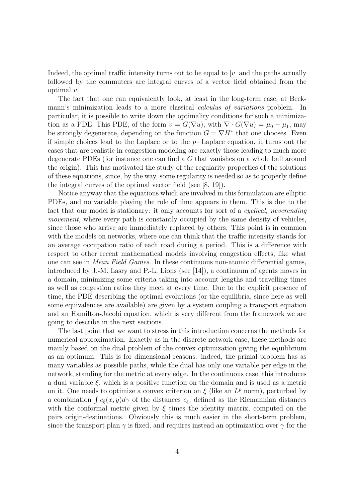Indeed, the optimal traffic intensity turns out to be equal to  $|v|$  and the paths actually followed by the commuters are integral curves of a vector field obtained from the optimal v.

The fact that one can equivalently look, at least in the long-term case, at Beckmann's minimization leads to a more classical calculus of variations problem. In particular, it is possible to write down the optimality conditions for such a minimization as a PDE. This PDE, of the form  $v = G(\nabla u)$ , with  $\nabla \cdot G(\nabla u) = \mu_0 - \mu_1$ , may be strongly degenerate, depending on the function  $G = \nabla H^*$  that one chooses. Even if simple choices lead to the Laplace or to the p−Laplace equation, it turns out the cases that are realistic in congestion modeling are exactly those leading to much more degenerate PDEs (for instance one can find a G that vanishes on a whole ball around the origin). This has motivated the study of the regularity properties of the solutions of these equations, since, by the way, some regularity is needed so as to properly define the integral curves of the optimal vector field (see [8, 19]).

Notice anyway that the equations which are involved in this formulation are elliptic PDEs, and no variable playing the role of time appears in them. This is due to the fact that our model is stationary: it only accounts for sort of a *cyclical*, *neverending* movement, where every path is constantly occupied by the same density of vehicles, since those who arrive are immediately replaced by others. This point is in common with the models on networks, where one can think that the traffic intensity stands for an average occupation ratio of each road during a period. This is a difference with respect to other recent mathematical models involving congestion effects, like what one can see in Mean Field Games. In these continuous non-atomic differential games, introduced by J.-M. Lasry and P.-L. Lions (see [14]), a continuum of agents moves in a domain, minimizing some criteria taking into account lengths and travelling times as well as congestion ratios they meet at every time. Due to the explicit presence of time, the PDE describing the optimal evolutions (or the equilibria, since here as well some equivalences are available) are given by a system coupling a transport equation and an Hamilton-Jacobi equation, which is very different from the framework we are going to describe in the next sections.

The last point that we want to stress in this introduction concerns the methods for numerical approximation. Exactly as in the discrete network case, these methods are mainly based on the dual problem of the convex optimization giving the equilibrium as an optimum. This is for dimensional reasons: indeed, the primal problem has as many variables as possible paths, while the dual has only one variable per edge in the network, standing for the metric at every edge. In the continuous case, this introduces a dual variable  $\xi$ , which is a positive function on the domain and is used as a metric on it. One needs to optimize a convex criterion on  $\xi$  (like an  $L^p$  norm), perturbed by a combination  $\int c_{\xi}(x, y)d\gamma$  of the distances  $c_{\xi}$ , defined as the Riemannian distances with the conformal metric given by  $\xi$  times the identity matrix, computed on the pairs origin-destinations. Obviously this is much easier in the short-term problem, since the transport plan  $\gamma$  is fixed, and requires instead an optimization over  $\gamma$  for the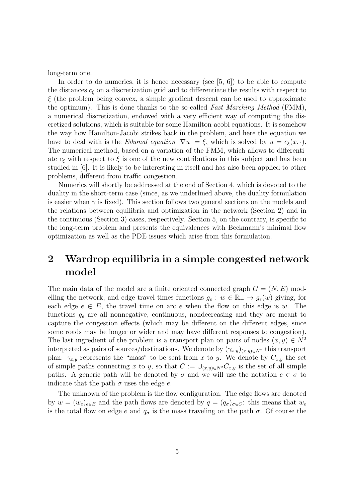long-term one.

In order to do numerics, it is hence necessary (see  $[5, 6]$ ) to be able to compute the distances  $c_{\xi}$  on a discretization grid and to differentiate the results with respect to  $\xi$  (the problem being convex, a simple gradient descent can be used to approximate the optimum). This is done thanks to the so-called Fast Marching Method (FMM), a numerical discretization, endowed with a very efficient way of computing the discretized solutions, which is suitable for some Hamilton-acobi equations. It is somehow the way how Hamilton-Jacobi strikes back in the problem, and here the equation we have to deal with is the *Eikonal equation*  $|\nabla u| = \xi$ , which is solved by  $u = c_{\xi}(x, \cdot)$ . The numerical method, based on a variation of the FMM, which allows to differentiate  $c_{\xi}$  with respect to  $\xi$  is one of the new contributions in this subject and has been studied in [6]. It is likely to be interesting in itself and has also been applied to other problems, different from traffic congestion.

Numerics will shortly be addressed at the end of Section 4, which is devoted to the duality in the short-term case (since, as we underlined above, the duality formulation is easier when  $\gamma$  is fixed). This section follows two general sections on the models and the relations between equilibria and optimization in the network (Section 2) and in the continuous (Section 3) cases, respectively. Section 5, on the contrary, is specific to the long-term problem and presents the equivalences with Beckmann's minimal flow optimization as well as the PDE issues which arise from this formulation.

## 2 Wardrop equilibria in a simple congested network model

The main data of the model are a finite oriented connected graph  $G = (N, E)$  modelling the network, and edge travel times functions  $g_e : w \in \mathbb{R}_+ \mapsto g_e(w)$  giving, for each edge  $e \in E$ , the travel time on arc e when the flow on this edge is w. The functions  $g_e$  are all nonnegative, continuous, nondecreasing and they are meant to capture the congestion effects (which may be different on the different edges, since some roads may be longer or wider and may have different responses to congestion). The last ingredient of the problem is a transport plan on pairs of nodes  $(x, y) \in N^2$ interpreted as pairs of sources/destinations. We denote by  $(\gamma_{x,y})_{(x,y)\in N^2}$  this transport plan:  $\gamma_{x,y}$  represents the "mass" to be sent from x to y. We denote by  $C_{x,y}$  the set of simple paths connecting x to y, so that  $C := \bigcup_{(x,y)\in N^2} C_{x,y}$  is the set of all simple paths. A generic path will be denoted by  $\sigma$  and we will use the notation  $e \in \sigma$  to indicate that the path  $\sigma$  uses the edge e.

The unknown of the problem is the flow configuration. The edge flows are denoted by  $w = (w_e)_{e \in E}$  and the path flows are denoted by  $q = (q_{\sigma})_{\sigma \in C}$ : this means that  $w_e$ is the total flow on edge e and  $q_{\sigma}$  is the mass traveling on the path  $\sigma$ . Of course the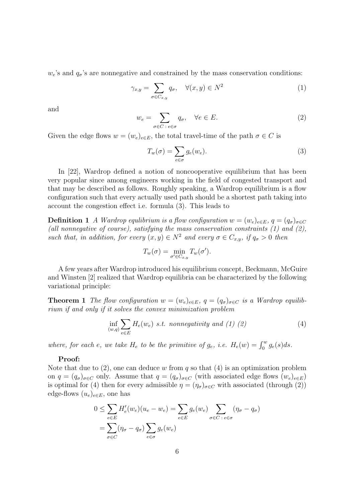$w_e$ 's and  $q_\sigma$ 's are nonnegative and constrained by the mass conservation conditions:

$$
\gamma_{x,y} = \sum_{\sigma \in C_{x,y}} q_{\sigma}, \quad \forall (x,y) \in N^2 \tag{1}
$$

and

$$
w_e = \sum_{\sigma \in C \ : \ e \in \sigma} q_{\sigma}, \quad \forall e \in E. \tag{2}
$$

Given the edge flows  $w = (w_e)_{e \in E}$ , the total travel-time of the path  $\sigma \in C$  is

$$
T_w(\sigma) = \sum_{e \in \sigma} g_e(w_e). \tag{3}
$$

In [22], Wardrop defined a notion of noncooperative equilibrium that has been very popular since among engineers working in the field of congested transport and that may be described as follows. Roughly speaking, a Wardrop equilibrium is a flow configuration such that every actually used path should be a shortest path taking into account the congestion effect i.e. formula (3). This leads to

**Definition 1** A Wardrop equlibrium is a flow configuration  $w = (w_e)_{e \in E}$ ,  $q = (q_\sigma)_{\sigma \in C}$ (all nonnegative of course), satisfying the mass conservation constraints  $(1)$  and  $(2)$ , such that, in addition, for every  $(x, y) \in N^2$  and every  $\sigma \in C_{x,y}$ , if  $q_{\sigma} > 0$  then

$$
T_w(\sigma) = \min_{\sigma' \in C_{x,y}} T_w(\sigma').
$$

A few years after Wardrop introduced his equilibrium concept, Beckmann, McGuire and Winsten [2] realized that Wardrop equilibria can be characterized by the following variational principle:

**Theorem 1** The flow configuration  $w = (w_e)_{e \in E}$ ,  $q = (q_\sigma)_{\sigma \in C}$  is a Wardrop equilibrium if and only if it solves the convex minimization problem

$$
\inf_{(w,q)} \sum_{e \in E} H_e(w_e) \, \text{ s.t. nonnegativity and (1) (2)} \tag{4}
$$

where, for each e, we take  $H_e$  to be the primitive of  $g_e$ , i.e.  $H_e(w) = \int_0^w g_e(s) ds$ .

#### Proof:

Note that due to  $(2)$ , one can deduce w from q so that  $(4)$  is an optimization problem on  $q = (q_{\sigma})_{\sigma \in C}$  only. Assume that  $q = (q_{\sigma})_{\sigma \in C}$  (with associated edge flows  $(w_e)_{e \in E}$ ) is optimal for (4) then for every admissible  $\eta = (\eta_{\sigma})_{\sigma \in C}$  with associated (through (2)) edge-flows  $(u_e)_{e \in E}$ , one has

$$
0 \leq \sum_{e \in E} H'_e(w_e)(u_e - w_e) = \sum_{e \in E} g_e(w_e) \sum_{\sigma \in C : e \in \sigma} (\eta_\sigma - q_\sigma)
$$
  
= 
$$
\sum_{\sigma \in C} (\eta_\sigma - q_\sigma) \sum_{e \in \sigma} g_e(w_e)
$$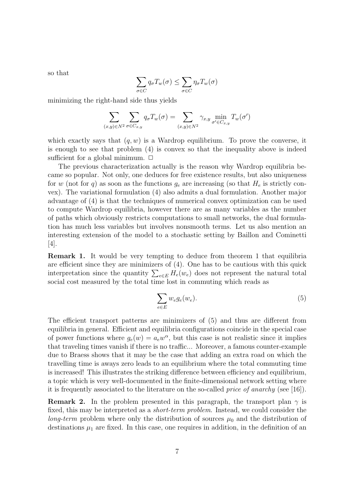so that

$$
\sum_{\sigma \in C} q_{\sigma} T_w(\sigma) \le \sum_{\sigma \in C} \eta_{\sigma} T_w(\sigma)
$$

minimizing the right-hand side thus yields

$$
\sum_{(x,y)\in N^2}\sum_{\sigma\in C_{x,y}}q_{\sigma}T_w(\sigma)=\sum_{(x,y)\in N^2}\gamma_{x,y}\min_{\sigma'\in C_{x,y}}T_w(\sigma')
$$

which exactly says that  $(q, w)$  is a Wardrop equilibrium. To prove the converse, it is enough to see that problem (4) is convex so that the inequality above is indeed sufficient for a global minimum.  $\Box$ 

The previous characterization actually is the reason why Wardrop equilibria became so popular. Not only, one deduces for free existence results, but also uniqueness for w (not for q) as soon as the functions  $g_e$  are increasing (so that  $H_e$  is strictly convex). The variational formulation (4) also admits a dual formulation. Another major advantage of (4) is that the techniques of numerical convex optimization can be used to compute Wardrop equilibria, however there are as many variables as the number of paths which obviously restricts computations to small networks, the dual formulation has much less variables but involves nonsmooth terms. Let us also mention an interesting extension of the model to a stochastic setting by Baillon and Cominetti [4].

Remark 1. It would be very tempting to deduce from theorem 1 that equilibria are efficient since they are minimizers of (4). One has to be cautious with this quick interpretation since the quantity  $\sum_{e \in E} H_e(w_e)$  does not represent the natural total social cost measured by the total time lost in commuting which reads as

$$
\sum_{e \in E} w_e g_e(w_e). \tag{5}
$$

The efficient transport patterns are minimizers of (5) and thus are different from equilibria in general. Efficient and equilibria configurations coincide in the special case of power functions where  $g_e(w) = a_e w^\alpha$ , but this case is not realistic since it implies that traveling times vanish if there is no traffic... Moreover, a famous counter-example due to Braess shows that it may be the case that adding an extra road on which the travelling time is aways zero leads to an equilibrium where the total commuting time is increased! This illustrates the striking difference between efficiency and equilibrium, a topic which is very well-documented in the finite-dimensional network setting where it is frequently associated to the literature on the so-called price of anarchy (see [16]).

**Remark 2.** In the problem presented in this paragraph, the transport plan  $\gamma$  is fixed, this may be interpreted as a *short-term problem*. Instead, we could consider the long-term problem where only the distribution of sources  $\mu_0$  and the distribution of destinations  $\mu_1$  are fixed. In this case, one requires in addition, in the definition of an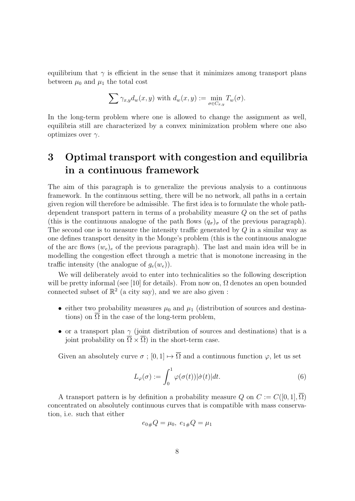equilibrium that  $\gamma$  is efficient in the sense that it minimizes among transport plans between  $\mu_0$  and  $\mu_1$  the total cost

$$
\sum \gamma_{x,y} d_w(x,y) \text{ with } d_w(x,y) := \min_{\sigma \in C_{x,y}} T_w(\sigma).
$$

In the long-term problem where one is allowed to change the assignment as well, equilibria still are characterized by a convex minimization problem where one also optimizes over  $\gamma$ .

## 3 Optimal transport with congestion and equilibria in a continuous framework

The aim of this paragraph is to generalize the previous analysis to a continuous framework. In the continuous setting, there will be no network, all paths in a certain given region will therefore be admissible. The first idea is to formulate the whole pathdependent transport pattern in terms of a probability measure Q on the set of paths (this is the continuous analogue of the path flows  $(q_{\sigma})_{\sigma}$  of the previous paragraph). The second one is to measure the intensity traffic generated by Q in a similar way as one defines transport density in the Monge's problem (this is the continuous analogue of the arc flows  $(w_e)_e$  of the previous paragraph). The last and main idea will be in modelling the congestion effect through a metric that is monotone increasing in the traffic intensity (the analogue of  $g_e(w_e)$ ).

We will deliberately avoid to enter into technicalities so the following description will be pretty informal (see [10] for details). From now on,  $\Omega$  denotes an open bounded connected subset of  $\mathbb{R}^2$  (a city say), and we are also given:

- either two probability measures  $\mu_0$  and  $\mu_1$  (distribution of sources and destinations) on  $\Omega$  in the case of the long-term problem,
- or a transport plan  $\gamma$  (joint distribution of sources and destinations) that is a joint probability on  $\overline{\Omega} \times \overline{\Omega}$  in the short-term case.

Given an absolutely curve  $\sigma$  ;  $[0, 1] \mapsto \overline{\Omega}$  and a continuous function  $\varphi$ , let us set

$$
L_{\varphi}(\sigma) := \int_0^1 \varphi(\sigma(t)) |\dot{\sigma}(t)| dt.
$$
 (6)

A transport pattern is by definition a probability measure Q on  $C := C([0,1], \Omega)$ concentrated on absolutely continuous curves that is compatible with mass conservation, i.e. such that either

$$
e_{0\#}Q = \mu_0, \ e_{1\#}Q = \mu_1
$$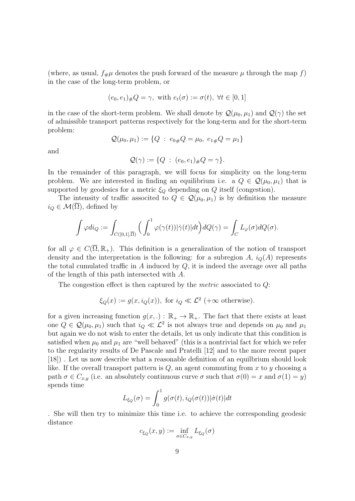(where, as usual,  $f_{\#}\mu$  denotes the push forward of the measure  $\mu$  through the map f) in the case of the long-term problem, or

$$
(e_0, e_1)_\#Q = \gamma
$$
, with  $e_t(\sigma) := \sigma(t)$ ,  $\forall t \in [0, 1]$ 

in the case of the short-term problem. We shall denote by  $\mathcal{Q}(\mu_0, \mu_1)$  and  $\mathcal{Q}(\gamma)$  the set of admissible transport patterns respectively for the long-term and for the short-term problem:

$$
\mathcal{Q}(\mu_0, \mu_1) := \{ Q \; : \; e_{0\#} Q = \mu_0, \; e_{1\#} Q = \mu_1 \}
$$

and

$$
\mathcal{Q}(\gamma) := \{ Q \; : \; (e_0, e_1)_\# Q = \gamma \}.
$$

In the remainder of this paragraph, we will focus for simplicity on the long-term problem. We are interested in finding an equilibrium i.e. a  $Q \in \mathcal{Q}(\mu_0, \mu_1)$  that is supported by geodesics for a metric  $\xi_Q$  depending on Q itself (congestion).

The intensity of traffic associted to  $Q \in \mathcal{Q}(\mu_0, \mu_1)$  is by definition the measure  $i_Q \in \mathcal{M}(\Omega)$ , defined by

$$
\int \varphi di_Q := \int_{C([0,1], \overline{\Omega})} \Big( \int_0^1 \varphi(\gamma(t)) |\dot{\gamma}(t)| dt \Big) dQ(\gamma) = \int_C L_{\varphi}(\sigma) dQ(\sigma).
$$

for all  $\varphi \in C(\overline{\Omega}, \mathbb{R}_+)$ . This definition is a generalization of the notion of transport density and the interpretation is the following: for a subregion A,  $i_Q(A)$  represents the total cumulated traffic in  $A$  induced by  $Q$ , it is indeed the average over all paths of the length of this path intersected with A.

The congestion effect is then captured by the metric associated to Q:

$$
\xi_Q(x) := g(x, i_Q(x)),
$$
 for  $i_Q \ll \mathcal{L}^2$  (+ $\infty$  otherwise).

for a given increasing function  $g(x,.) : \mathbb{R}_+ \to \mathbb{R}_+$ . The fact that there exists at least one  $Q \in \mathcal{Q}(\mu_0, \mu_1)$  such that  $i_Q \ll \mathcal{L}^2$  is not always true and depends on  $\mu_0$  and  $\mu_1$ but again we do not wish to enter the details, let us only indicate that this condition is satisfied when  $\mu_0$  and  $\mu_1$  are "well behaved" (this is a nontrivial fact for which we refer to the regularity results of De Pascale and Pratelli [12] and to the more recent paper [18]) . Let us now describe what a reasonable definition of an equilbrium should look like. If the overall transport pattern is  $Q$ , an agent commuting from x to y choosing a path  $\sigma \in C_{x,y}$  (i.e. an absolutely continuous curve  $\sigma$  such that  $\sigma(0) = x$  and  $\sigma(1) = y$ ) spends time

$$
L_{\xi_Q}(\sigma) = \int_0^1 g(\sigma(t), i_Q(\sigma(t)) | \dot{\sigma}(t) | dt
$$

. She will then try to minimize this time i.e. to achieve the corresponding geodesic distance

$$
c_{\xi_Q}(x,y) := \inf_{\sigma \in C_{x,y}} L_{\xi_Q}(\sigma)
$$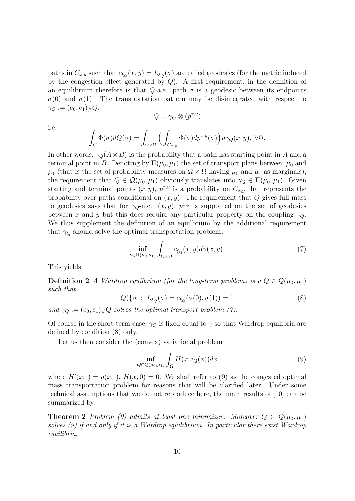paths in  $C_{x,y}$  such that  $c_{\xi_Q}(x,y) = L_{\xi_Q}(\sigma)$  are called geodesics (for the metric induced by the congestion effect generated by  $Q$ ). A first requirement, in the definition of an equilibrium therefore is that Q-a.e. path  $\sigma$  is a geodesic between its endpoints  $\sigma(0)$  and  $\sigma(1)$ . The transportation pattern may be disintegrated with respect to  $\gamma_Q := (e_0, e_1)_\# Q$ :

$$
Q = \gamma_Q \otimes (p^{x,y})
$$

i.e.

$$
\int_C \Phi(\sigma) dQ(\sigma) = \int_{\overline{\Omega} \times \overline{\Omega}} \Big( \int_{C_{x,y}} \Phi(\sigma) dp^{x,y}(\sigma) \Big) d\gamma_Q(x,y), \ \forall \Phi.
$$

In other words,  $\gamma_Q(A\times B)$  is the probability that a path has starting point in A and a terminal point in B. Denoting by  $\Pi(\mu_0, \mu_1)$  the set of transport plans between  $\mu_0$  and  $\mu_1$  (that is the set of probability measures on  $\Omega \times \Omega$  having  $\mu_0$  and  $\mu_1$  as marginals), the requirement that  $Q \in \mathcal{Q}(\mu_0, \mu_1)$  obviously translates into  $\gamma_Q \in \Pi(\mu_0, \mu_1)$ . Given starting and terminal points  $(x, y)$ ,  $p^{x,y}$  is a probability on  $C_{x,y}$  that represents the probability over paths conditional on  $(x, y)$ . The requirement that Q gives full mass to geodesics says that for  $\gamma_Q$ -a.e.  $(x, y)$ ,  $p^{x,y}$  is supported on the set of geodesics between x and y but this does require any particular property on the coupling  $\gamma_Q$ . We thus supplement the definition of an equilbrium by the additional requirement that  $\gamma_Q$  should solve the optimal transportation problem:

$$
\inf_{\gamma \in \Pi(\mu_0, \mu_1)} \int_{\overline{\Omega} \times \overline{\Omega}} c_{\xi_Q}(x, y) d\gamma(x, y). \tag{7}
$$

This yields:

**Definition 2** A Wardrop equilibrium (for the long-term problem) is a  $Q \in \mathcal{Q}(\mu_0, \mu_1)$ such that

$$
Q(\{\sigma : L_{\xi_Q}(\sigma) = c_{\xi_Q}(\sigma(0), \sigma(1)) = 1 \tag{8}
$$

and  $\gamma_Q := (e_0, e_1)_\# Q$  solves the optimal transport problem (7).

Of course in the short-term case,  $\gamma_{\mathcal{O}}$  is fixed equal to  $\gamma$  so that Wardrop equilibria are defined by condition (8) only.

Let us then consider the (convex) variational problem

$$
\inf_{Q \in \mathcal{Q}(\mu_0, \mu_1)} \int_{\Omega} H(x, i_Q(x)) dx \tag{9}
$$

where  $H'(x,.) = g(x,.)$ ,  $H(x,0) = 0$ . We shall refer to (9) as the congested optimal mass transportation problem for reasons that will be clarified later. Under some technical assumptions that we do not reproduce here, the main results of [10] can be summarized by:

**Theorem 2** Problem (9) admits at least one minimizer. Moreover  $\overline{Q} \in \mathcal{Q}(\mu_0, \mu_1)$ solves (9) if and only if it is a Wardrop equilibrium. In particular there exist Wardrop equilibria.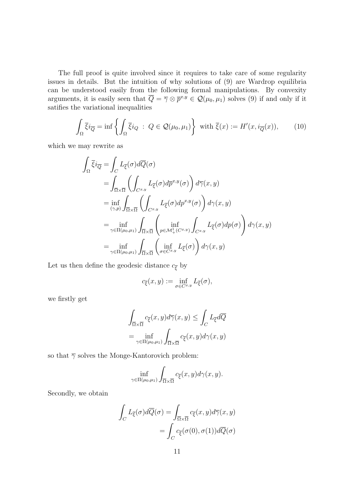The full proof is quite involved since it requires to take care of some regularity issues in details. But the intuition of why solutions of (9) are Wardrop equilibria can be understood easily from the following formal manipulations. By convexity arguments, it is easily seen that  $\overline{Q} = \overline{\gamma} \otimes \overline{p}^{x,y} \in \mathcal{Q}(\mu_0, \mu_1)$  solves (9) if and only if it satifies the variational inequalities

$$
\int_{\Omega} \overline{\xi} i_{\overline{Q}} = \inf \left\{ \int_{\Omega} \overline{\xi} i_Q \; : \; Q \in \mathcal{Q}(\mu_0, \mu_1) \right\} \text{ with } \overline{\xi}(x) := H'(x, i_{\overline{Q}}(x)), \qquad (10)
$$

which we may rewrite as

$$
\int_{\Omega} \overline{\xi} i_{\overline{Q}} = \int_{C} L_{\overline{\xi}}(\sigma) d\overline{Q}(\sigma)
$$
\n
$$
= \int_{\overline{\Omega} \times \overline{\Omega}} \left( \int_{C^{x,y}} L_{\overline{\xi}}(\sigma) d\overline{p}^{x,y}(\sigma) \right) d\overline{\gamma}(x, y)
$$
\n
$$
= \inf_{(\gamma,p)} \int_{\overline{\Omega} \times \overline{\Omega}} \left( \int_{C^{x,y}} L_{\overline{\xi}}(\sigma) dp^{x,y}(\sigma) \right) d\gamma(x, y)
$$
\n
$$
= \inf_{\gamma \in \Pi(\mu_0, \mu_1)} \int_{\overline{\Omega} \times \overline{\Omega}} \left( \inf_{p \in \mathcal{M}_+^1(C^{x,y})} \int_{C^{x,y}} L_{\overline{\xi}}(\sigma) dp(\sigma) \right) d\gamma(x, y)
$$
\n
$$
= \inf_{\gamma \in \Pi(\mu_0, \mu_1)} \int_{\overline{\Omega} \times \overline{\Omega}} \left( \inf_{\sigma \in C^{x,y}} L_{\overline{\xi}}(\sigma) \right) d\gamma(x, y)
$$

Let us then define the geodesic distance  $c_{\overline{\xi}}$  by

$$
c_{\overline{\xi}}(x,y) := \inf_{\sigma \in C^{x,y}} L_{\overline{\xi}}(\sigma),
$$

we firstly get

$$
\int_{\overline{\Omega}\times\overline{\Omega}} c_{\overline{\xi}}(x, y) d\overline{\gamma}(x, y) \le \int_C L_{\overline{\xi}} d\overline{Q}
$$

$$
= \inf_{\gamma \in \Pi(\mu_0, \mu_1)} \int_{\overline{\Omega}\times\overline{\Omega}} c_{\overline{\xi}}(x, y) d\gamma(x, y)
$$

so that  $\overline{\gamma}$  solves the Monge-Kantorovich problem:

$$
\inf_{\gamma \in \Pi(\mu_0, \mu_1)} \int_{\overline{\Omega} \times \overline{\Omega}} c_{\overline{\xi}}(x, y) d\gamma(x, y).
$$

Secondly, we obtain

$$
\int_C L_{\overline{\xi}}(\sigma) d\overline{Q}(\sigma) = \int_{\overline{\Omega} \times \overline{\Omega}} c_{\overline{\xi}}(x, y) d\overline{\gamma}(x, y)
$$

$$
= \int_C c_{\overline{\xi}}(\sigma(0), \sigma(1)) d\overline{Q}(\sigma)
$$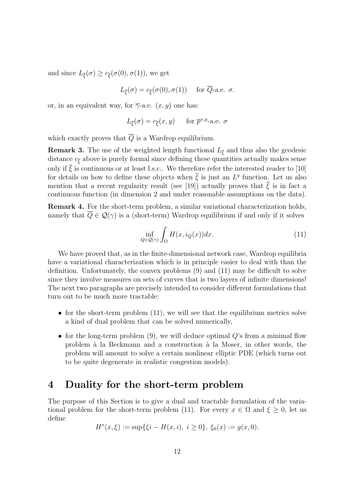and since  $L_{\overline{\xi}}(\sigma) \geq c_{\overline{\xi}}(\sigma(0), \sigma(1)),$  we get

$$
L_{\overline{\xi}}(\sigma) = c_{\overline{\xi}}(\sigma(0), \sigma(1)) \quad \text{ for } \overline{Q}\text{-a.e. } \sigma.
$$

or, in an equivalent way, for  $\overline{\gamma}$ -a.e.  $(x, y)$  one has:

$$
L_{\overline{\xi}}(\sigma) = c_{\overline{\xi}}(x, y) \quad \text{for } \overline{p}^{x, y} \text{-a.e. } \sigma
$$

which exactly proves that  $\overline{Q}$  is a Wardrop equilibrium.

**Remark 3.** The use of the weighted length functional  $L_{\overline{\xi}}$  and thus also the geodesic distance  $c_{\overline{\xi}}$  above is purely formal since defining these quantities actually makes sense only if  $\overline{\xi}$  is continuous or at least l.s.c.. We therefore refer the interested reader to [10] for details on how to define these objects when  $\bar{\xi}$  is just an  $L^q$  function. Let us also mention that a recent regularity result (see [19]) actually proves that  $\overline{\xi}$  is in fact a continuous function (in dimension 2 and under reasonable assumptions on the data).

Remark 4. For the short-term problem, a similar variational characterization holds, namely that  $\overline{Q} \in \mathcal{Q}(\gamma)$  is a (short-term) Wardrop equilibrium if and only if it solves

$$
\inf_{Q \in \mathcal{Q}(\gamma)} \int_{\Omega} H(x, i_Q(x)) dx.
$$
\n(11)

We have proved that, as in the finite-dimensional network case, Wardrop equilibria have a variational characterization which is in principle easier to deal with than the definition. Unfortunately, the convex problems (9) and (11) may be difficult to solve since they involve measures on sets of curves that is two layers of infinite dimensions! The next two paragraphs are precisely intended to consider different formulations that turn out to be much more tractable:

- for the short-term problem  $(11)$ , we will see that the equilibrium metrics solve a kind of dual problem that can be solved numerically,
- for the long-term problem  $(9)$ , we will deduce optimal  $Q$ 's from a minimal flow problem à la Beckmann and a construction à la Moser, in other words, the problem will amount to solve a certain nonlinear elliptic PDE (which turns out to be quite degenerate in realistic congestion models).

### 4 Duality for the short-term problem

The purpose of this Section is to give a dual and tractable formulation of the variational problem for the short-term problem (11). For every  $x \in \Omega$  and  $\xi \geq 0$ , let us define

$$
H^*(x,\xi) := \sup\{\xi i - H(x,i), i \ge 0\}, \xi_0(x) := g(x,0).
$$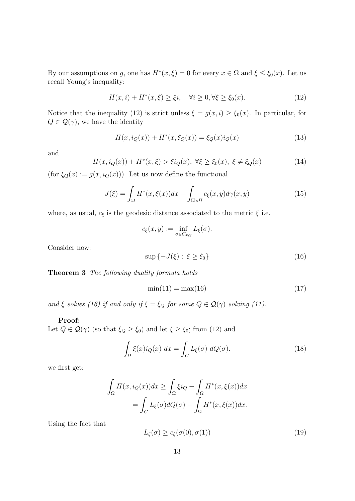By our assumptions on g, one has  $H^*(x,\xi) = 0$  for every  $x \in \Omega$  and  $\xi \leq \xi_0(x)$ . Let us recall Young's inequality:

$$
H(x,i) + H^*(x,\xi) \ge \xi i, \quad \forall i \ge 0, \forall \xi \ge \xi_0(x). \tag{12}
$$

Notice that the inequality (12) is strict unless  $\xi = g(x, i) \ge \xi_0(x)$ . In particular, for  $Q \in \mathcal{Q}(\gamma)$ , we have the identity

$$
H(x, i_Q(x)) + H^*(x, \xi_Q(x)) = \xi_Q(x)i_Q(x)
$$
\n(13)

and

$$
H(x, i_Q(x)) + H^*(x, \xi) > \xi i_Q(x), \ \forall \xi \ge \xi_0(x), \ \xi \ne \xi_Q(x)
$$
 (14)

(for  $\xi_Q(x) := g(x, i_Q(x))$ ). Let us now define the functional

$$
J(\xi) = \int_{\Omega} H^*(x, \xi(x)) dx - \int_{\overline{\Omega} \times \overline{\Omega}} c_{\xi}(x, y) d\gamma(x, y)
$$
(15)

where, as usual,  $c_\xi$  is the geodesic distance associated to the metric  $\xi$  i.e.

$$
c_{\xi}(x,y):=\inf_{\sigma\in C_{x,y}}L_{\xi}(\sigma).
$$

Consider now:

$$
\sup\left\{-J(\xi):\xi\geq\xi_0\right\}\tag{16}
$$

Theorem 3 The following duality formula holds

$$
\min(11) = \max(16) \tag{17}
$$

and  $\xi$  solves (16) if and only if  $\xi = \xi_Q$  for some  $Q \in \mathcal{Q}(\gamma)$  solving (11).

#### Proof:

Let  $Q \in \mathcal{Q}(\gamma)$  (so that  $\xi_Q \ge \xi_0$ ) and let  $\xi \ge \xi_0$ ; from (12) and

$$
\int_{\Omega} \xi(x) i_Q(x) dx = \int_C L_{\xi}(\sigma) dQ(\sigma).
$$
\n(18)

we first get:

$$
\int_{\Omega} H(x, i_Q(x))dx \ge \int_{\Omega} \xi i_Q - \int_{\Omega} H^*(x, \xi(x))dx
$$

$$
= \int_C L_{\xi}(\sigma) dQ(\sigma) - \int_{\Omega} H^*(x, \xi(x))dx.
$$

Using the fact that

$$
L_{\xi}(\sigma) \ge c_{\xi}(\sigma(0), \sigma(1))
$$
\n(19)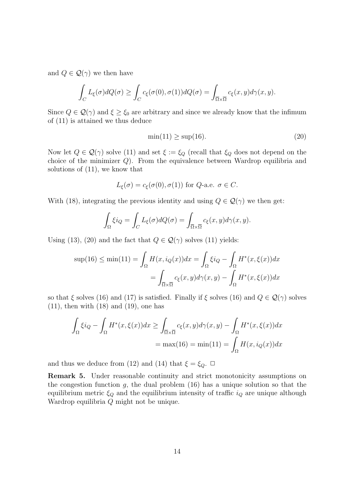and  $Q \in \mathcal{Q}(\gamma)$  we then have

$$
\int_C L_{\xi}(\sigma)dQ(\sigma) \ge \int_C c_{\xi}(\sigma(0), \sigma(1))dQ(\sigma) = \int_{\overline{\Omega}\times\overline{\Omega}} c_{\xi}(x, y)d\gamma(x, y).
$$

Since  $Q \in \mathcal{Q}(\gamma)$  and  $\xi \geq \xi_0$  are arbitrary and since we already know that the infimum of (11) is attained we thus deduce

$$
\min(11) \ge \sup(16). \tag{20}
$$

Now let  $Q \in \mathcal{Q}(\gamma)$  solve (11) and set  $\xi := \xi_Q$  (recall that  $\xi_Q$  does not depend on the choice of the minimizer Q). From the equivalence between Wardrop equilibria and solutions of (11), we know that

$$
L_{\xi}(\sigma) = c_{\xi}(\sigma(0), \sigma(1))
$$
 for  $Q$ -a.e.  $\sigma \in C$ .

With (18), integrating the previous identity and using  $Q \in \mathcal{Q}(\gamma)$  we then get:

$$
\int_{\Omega} \xi i_Q = \int_C L_{\xi}(\sigma) dQ(\sigma) = \int_{\overline{\Omega} \times \overline{\Omega}} c_{\xi}(x, y) d\gamma(x, y).
$$

Using (13), (20) and the fact that  $Q \in \mathcal{Q}(\gamma)$  solves (11) yields:

$$
\sup(16) \le \min(11) = \int_{\Omega} H(x, i_Q(x))dx = \int_{\Omega} \xi i_Q - \int_{\Omega} H^*(x, \xi(x))dx
$$

$$
= \int_{\overline{\Omega} \times \overline{\Omega}} c_{\xi}(x, y) d\gamma(x, y) - \int_{\Omega} H^*(x, \xi(x))dx
$$

so that  $\xi$  solves (16) and (17) is satisfied. Finally if  $\xi$  solves (16) and  $Q \in \mathcal{Q}(\gamma)$  solves  $(11)$ , then with  $(18)$  and  $(19)$ , one has

$$
\int_{\Omega} \xi i_Q - \int_{\Omega} H^*(x, \xi(x)) dx \ge \int_{\overline{\Omega} \times \overline{\Omega}} c_{\xi}(x, y) d\gamma(x, y) - \int_{\Omega} H^*(x, \xi(x)) dx
$$

$$
= \max(16) = \min(11) = \int_{\Omega} H(x, i_Q(x)) dx
$$

and thus we deduce from (12) and (14) that  $\xi = \xi_Q$ .  $\Box$ 

Remark 5. Under reasonable continuity and strict monotonicity assumptions on the congestion function g, the dual problem  $(16)$  has a unique solution so that the equilibrium metric  $\xi_Q$  and the equilibrium intensity of traffic  $i_Q$  are unique although Wardrop equilibria Q might not be unique.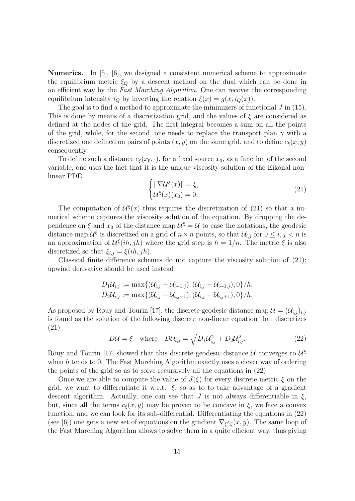Numerics. In [5], [6], we designed a consistent numerical scheme to approximate the equilibrium metric  $\xi_0$  by a descent method on the dual which can be done in an efficient way by the Fast Marching Algorithm. One can recover the corresponding equilibrium intensity  $i_Q$  by inverting the relation  $\xi(x) = g(x, i_Q(x))$ .

The goal is to find a method to approximate the minimizers of functional  $J$  in (15). This is done by means of a discretization grid, and the values of  $\xi$  are considered as defined at the nodes of the grid. The first integral becomes a sum on all the points of the grid, while, for the second, one needs to replace the transport plan  $\gamma$  with a discretized one defined on pairs of points  $(x, y)$  on the same grid, and to define  $c_{\epsilon}(x, y)$ consequently.

To define such a distance  $c_{\xi}(x_0, \cdot)$ , for a fixed source  $x_0$ , as a function of the second variable, one uses the fact that it is the unique viscosity solution of the Eikonal nonlinear PDE

$$
\begin{cases}\n\|\nabla \mathcal{U}^{\xi}(x)\| = \xi, \\
\mathcal{U}^{\xi}(x)(x_0) = 0,\n\end{cases}
$$
\n(21)

The computation of  $\mathcal{U}^{\xi}(x)$  thus requires the discretization of (21) so that a numerical scheme captures the viscosity solution of the equation. By dropping the dependence on  $\xi$  and  $x_0$  of the distance map  $\mathcal{U}^{\xi} = \mathcal{U}$  to ease the notations, the geodesic distance map  $\mathcal{U}^{\xi}$  is discretized on a grid of  $n \times n$  points, so that  $\mathcal{U}_{i,j}$  for  $0 \leq i, j < n$  is an approximation of  $\mathcal{U}^{\xi}(ih,jh)$  where the grid step is  $h = 1/n$ . The metric  $\xi$  is also discretized so that  $\xi_{i,j} = \xi(ih, jh)$ .

Classical finite difference schemes do not capture the viscosity solution of (21); upwind derivative should be used instead

$$
D_1 \mathcal{U}_{i,j} := \max \{ (\mathcal{U}_{i,j} - \mathcal{U}_{i-1,j}), (\mathcal{U}_{i,j} - \mathcal{U}_{i+1,j}), 0 \} / h,
$$
  
\n
$$
D_2 \mathcal{U}_{i,j} := \max \{ (\mathcal{U}_{i,j} - \mathcal{U}_{i,j-1}), (\mathcal{U}_{i,j} - \mathcal{U}_{i,j+1}), 0 \} / h.
$$

As proposed by Rouy and Tourin [17], the discrete geodesic distance map  $\mathcal{U} = (\mathcal{U}_{i,j})_{i,j}$ is found as the solution of the following discrete non-linear equation that discretizes (21)

$$
D\mathcal{U} = \xi \quad \text{where} \quad D\mathcal{U}_{i,j} = \sqrt{D_1 \mathcal{U}_{i,j}^2 + D_2 \mathcal{U}_{i,j}^2}.
$$
 (22)

Rouy and Tourin [17] showed that this discrete geodesic distance  $\mathcal{U}$  converges to  $\mathcal{U}^{\xi}$ when h tends to 0. The Fast Marching Algorithm exactly uses a clever way of ordering the points of the grid so as to solve recursively all the equations in (22).

Once we are able to compute the value of  $J(\xi)$  for every discrete metric  $\xi$  on the grid, we want to differentiate it w.r.t.  $\xi$ , so as to to take advantage of a gradient descent algorithm. Actually, one can see that J is not always differentiable in  $\xi$ , but, since all the terms  $c_{\xi}(x, y)$  may be proven to be concave in  $\xi$ , we face a convex function, and we can look for its sub-differential. Differentiating the equations in (22) (see [6]) one gets a new set of equations on the gradient  $\nabla_{\xi} c_{\xi}(x, y)$ . The same loop of the Fast Marching Algorithm allows to solve them in a quite efficient way, thus giving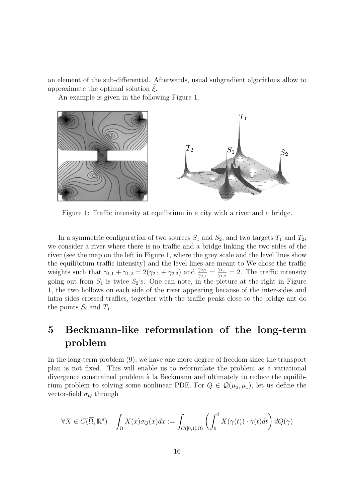an element of the sub-differential. Afterwards, usual subgradient algorithms allow to approximate the optimal solution  $\xi$ .

An example is given in the following Figure 1.



Figure 1: Traffic intensity at equilbrium in a city with a river and a bridge.

In a symmetric configuration of two sources  $S_1$  and  $S_2$ , and two targets  $T_1$  and  $T_2$ ; we consider a river where there is no traffic and a bridge linking the two sides of the river (see the map on the left in Figure 1, where the grey scale and the level lines show the equilibrium traffic intensity) and the level lines are meant to We chose the traffic weights such that  $\gamma_{1,1} + \gamma_{1,2} = 2(\gamma_{2,1} + \gamma_{2,2})$  and  $\frac{\gamma_{2,2}}{\gamma_{2,1}} = \frac{\gamma_{1,1}}{\gamma_{1,2}}$  $\frac{\gamma_{1,1}}{\gamma_{1,2}}=2$ . The traffic intensity going out from  $S_1$  is twice  $S_2$ 's. One can note, in the picture at the right in Figure 1, the two hollows on each side of the river appearing because of the inter-sides and intra-sides crossed traffics, together with the traffic peaks close to the bridge ant do the points  $S_i$  and  $T_j$ .

## 5 Beckmann-like reformulation of the long-term problem

In the long-term problem (9), we have one more degree of freedom since the transport plan is not fixed. This will enable us to reformulate the problem as a variational divergence constrained problem à la Beckmann and ultimately to reduce the equilibrium problem to solving some nonlinear PDE. For  $Q \in \mathcal{Q}(\mu_0, \mu_1)$ , let us define the vector-field  $\sigma_Q$  through

$$
\forall X \in C(\overline{\Omega}, \mathbb{R}^d) \quad \int_{\overline{\Omega}} X(x)\sigma_Q(x)dx := \int_{C([0,1], \overline{\Omega})} \left( \int_0^1 X(\gamma(t)) \cdot \dot{\gamma}(t)dt \right) dQ(\gamma)
$$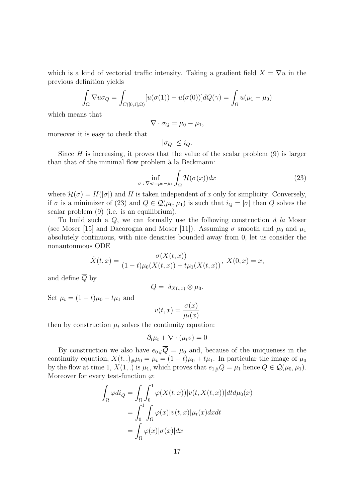which is a kind of vectorial traffic intensity. Taking a gradient field  $X = \nabla u$  in the previous definition yields

$$
\int_{\overline{\Omega}} \nabla u \sigma_Q = \int_{C([0,1], \overline{\Omega})} [u(\sigma(1)) - u(\sigma(0))] dQ(\gamma) = \int_{\Omega} u(\mu_1 - \mu_0)
$$

which means that

$$
\nabla \cdot \sigma_Q = \mu_0 - \mu_1,
$$

moreover it is easy to check that

$$
|\sigma_Q| \leq i_Q.
$$

Since  $H$  is increasing, it proves that the value of the scalar problem  $(9)$  is larger than that of the minimal flow problem à la Beckmann:

$$
\inf_{\sigma \,:\, \nabla \cdot \sigma = \mu_0 - \mu_1} \int_{\Omega} \mathcal{H}(\sigma(x)) dx \tag{23}
$$

where  $\mathcal{H}(\sigma) = H(|\sigma|)$  and H is taken independent of x only for simplicity. Conversely, if  $\sigma$  is a minimizer of (23) and  $Q \in \mathcal{Q}(\mu_0, \mu_1)$  is such that  $i_Q = |\sigma|$  then  $Q$  solves the scalar problem (9) (i.e. is an equilibrium).

To build such a  $Q$ , we can formally use the following construction  $\dot{a}$  la Moser (see Moser [15] and Dacorogna and Moser [11]). Assuming  $\sigma$  smooth and  $\mu_0$  and  $\mu_1$ absolutely continuous, with nice densities bounded away from 0, let us consider the nonautonmous ODE

$$
\dot{X}(t,x) = \frac{\sigma(X(t,x))}{(1-t)\mu_0(X(t,x)) + t\mu_1(X(t,x))}, \ X(0,x) = x,
$$

and define  $\overline{Q}$  by

$$
\overline{Q} = \delta_{X(.,x)} \otimes \mu_0.
$$

Set  $\mu_t = (1 - t)\mu_0 + t\mu_1$  and

$$
v(t,x) = \frac{\sigma(x)}{\mu_t(x)}
$$

then by construction  $\mu_t$  solves the continuity equation:

$$
\partial_t \mu_t + \nabla \cdot (\mu_t v) = 0
$$

By construction we also have  $e_{0\#}\overline{Q} = \mu_0$  and, because of the uniqueness in the continuity equation,  $X(t,.)_{\#}\mu_0 = \mu_t = (1-t)\mu_0 + t\mu_1$ . In particular the image of  $\mu_0$ by the flow at time 1,  $X(1,.)$  is  $\mu_1$ , which proves that  $e_1 \# \overline{Q} = \mu_1$  hence  $\overline{Q} \in \mathcal{Q}(\mu_0, \mu_1)$ . Moreover for every test-function  $\varphi$ :

$$
\int_{\Omega} \varphi di_{\overline{Q}} = \int_{\Omega} \int_0^1 \varphi(X(t, x)) |v(t, X(t, x))| dt d\mu_0(x)
$$

$$
= \int_0^1 \int_{\Omega} \varphi(x) |v(t, x)| \mu_t(x) dx dt
$$

$$
= \int_{\Omega} \varphi(x) |\sigma(x)| dx
$$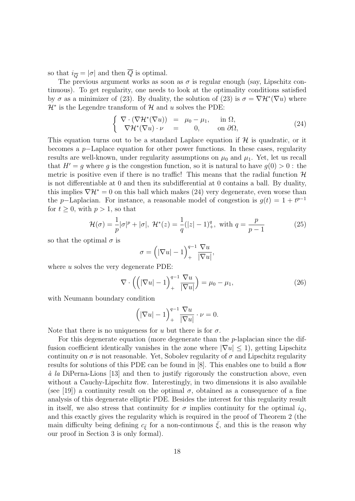so that  $i_{\overline{Q}} = |\sigma|$  and then  $\overline{Q}$  is optimal.

The previous argument works as soon as  $\sigma$  is regular enough (say, Lipschitz continuous). To get regularity, one needs to look at the optimality conditions satisfied by  $\sigma$  as a minimizer of (23). By duality, the solution of (23) is  $\sigma = \nabla \mathcal{H}^*(\nabla u)$  where  $\mathcal{H}^*$  is the Legendre transform of  $\mathcal{H}$  and u solves the PDE:

$$
\begin{cases}\n\nabla \cdot (\nabla \mathcal{H}^*(\nabla u)) = \mu_0 - \mu_1, & \text{in } \Omega, \\
\nabla \mathcal{H}^*(\nabla u) \cdot \nu = 0, & \text{on } \partial \Omega,\n\end{cases}
$$
\n(24)

This equation turns out to be a standard Laplace equation if  $\mathcal{H}$  is quadratic, or it becomes a p−Laplace equation for other power functions. In these cases, regularity results are well-known, under regularity assumptions on  $\mu_0$  and  $\mu_1$ . Yet, let us recall that  $H' = q$  where q is the congestion function, so it is natural to have  $q(0) > 0$ : the metric is positive even if there is no traffic! This means that the radial function  $\mathcal{H}$ is not differentiable at 0 and then its subdifferential at 0 contains a ball. By duality, this implies  $\nabla \mathcal{H}^* = 0$  on this ball which makes (24) very degenerate, even worse than the p–Laplacian. For instance, a reasonable model of congestion is  $g(t) = 1 + t^{p-1}$ for  $t \geq 0$ , with  $p > 1$ , so that

$$
\mathcal{H}(\sigma) = \frac{1}{p} |\sigma|^p + |\sigma|, \ \mathcal{H}^*(z) = \frac{1}{q} (|z| - 1)_+^q, \text{ with } q = \frac{p}{p - 1}
$$
 (25)

so that the optimal  $\sigma$  is

$$
\sigma = \left( |\nabla u| - 1 \right)_+^{q-1} \frac{\nabla u}{|\nabla u|},
$$

where u solves the very degenerate PDE:

$$
\nabla \cdot \left( \left( |\nabla u| - 1 \right)_+^{q-1} \frac{\nabla u}{|\nabla u|} \right) = \mu_0 - \mu_1,\tag{26}
$$

with Neumann boundary condition

$$
\left( |\nabla u| - 1 \right)_+^{q-1} \frac{\nabla u}{|\nabla u|} \cdot \nu = 0.
$$

Note that there is no uniqueness for u but there is for  $\sigma$ .

For this degenerate equation (more degenerate than the p-laplacian since the diffusion coefficient identically vanishes in the zone where  $|\nabla u| \leq 1$ , getting Lipschitz continuity on  $\sigma$  is not reasonable. Yet, Sobolev regularity of  $\sigma$  and Lipschitz regularity results for solutions of this PDE can be found in [8]. This enables one to build a flow  $\dot{a}$  la DiPerna-Lions [13] and then to justify rigorously the construction above, even without a Cauchy-Lipschitz flow. Interestingly, in two dimensions it is also available (see [19]) a continuity result on the optimal  $\sigma$ , obtained as a consequence of a fine analysis of this degenerate elliptic PDE. Besides the interest for this regularity result in itself, we also stress that continuity for  $\sigma$  implies continuity for the optimal  $i_Q$ , and this exactly gives the regularity which is required in the proof of Theorem 2 (the main difficulty being defining  $c_{\xi}$  for a non-continuous  $\xi$ , and this is the reason why our proof in Section 3 is only formal).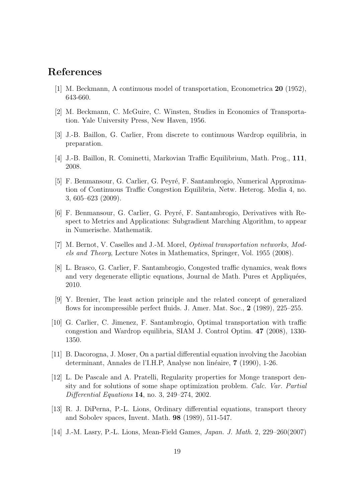### References

- [1] M. Beckmann, A continuous model of transportation, Econometrica 20 (1952), 643-660.
- [2] M. Beckmann, C. McGuire, C. Winsten, Studies in Economics of Transportation. Yale University Press, New Haven, 1956.
- [3] J.-B. Baillon, G. Carlier, From discrete to continuous Wardrop equilibria, in preparation.
- [4] J.-B. Baillon, R. Cominetti, Markovian Traffic Equilibrium, Math. Prog., 111, 2008.
- [5] F. Benmansour, G. Carlier, G. Peyré, F. Santambrogio, Numerical Approximation of Continuous Traffic Congestion Equilibria, Netw. Heterog. Media 4, no. 3, 605–623 (2009).
- [6] F. Benmansour, G. Carlier, G. Peyré, F. Santambrogio, Derivatives with Respect to Metrics and Applications: Subgradient Marching Algorithm, to appear in Numerische. Mathematik.
- [7] M. Bernot, V. Caselles and J.-M. Morel, *Optimal transportation networks*, *Mod*els and Theory, Lecture Notes in Mathematics, Springer, Vol. 1955 (2008).
- [8] L. Brasco, G. Carlier, F. Santambrogio, Congested traffic dynamics, weak flows and very degenerate elliptic equations, Journal de Math. Pures et Appliquées, 2010.
- [9] Y. Brenier, The least action principle and the related concept of generalized flows for incompressible perfect fluids. J. Amer. Mat. Soc., 2 (1989), 225–255.
- [10] G. Carlier, C. Jimenez, F. Santambrogio, Optimal transportation with traffic congestion and Wardrop equilibria, SIAM J. Control Optim. 47 (2008), 1330- 1350.
- [11] B. Dacorogna, J. Moser, On a partial differential equation involving the Jacobian determinant, Annales de l'I.H.P, Analyse non linéaire, 7 (1990), 1-26.
- [12] L. De Pascale and A. Pratelli, Regularity properties for Monge transport density and for solutions of some shape optimization problem. Calc. Var. Partial Differential Equations 14, no. 3, 249–274, 2002.
- [13] R. J. DiPerna, P.-L. Lions, Ordinary differential equations, transport theory and Sobolev spaces, Invent. Math. 98 (1989), 511-547.
- [14] J.-M. Lasry, P.-L. Lions, Mean-Field Games, Japan. J. Math. 2, 229–260(2007)